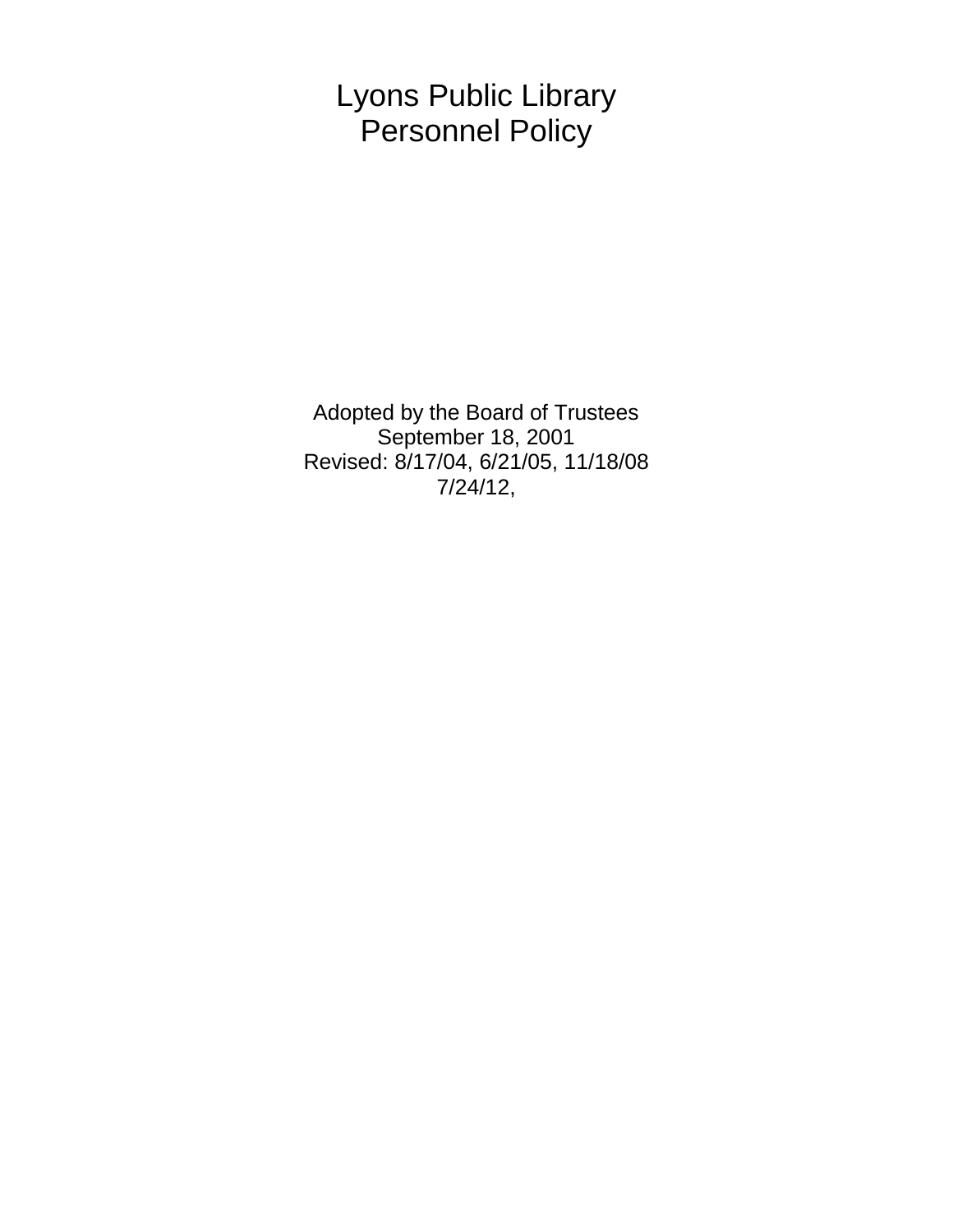Lyons Public Library Personnel Policy

Adopted by the Board of Trustees September 18, 2001 Revised: 8/17/04, 6/21/05, 11/18/08 7/24/12,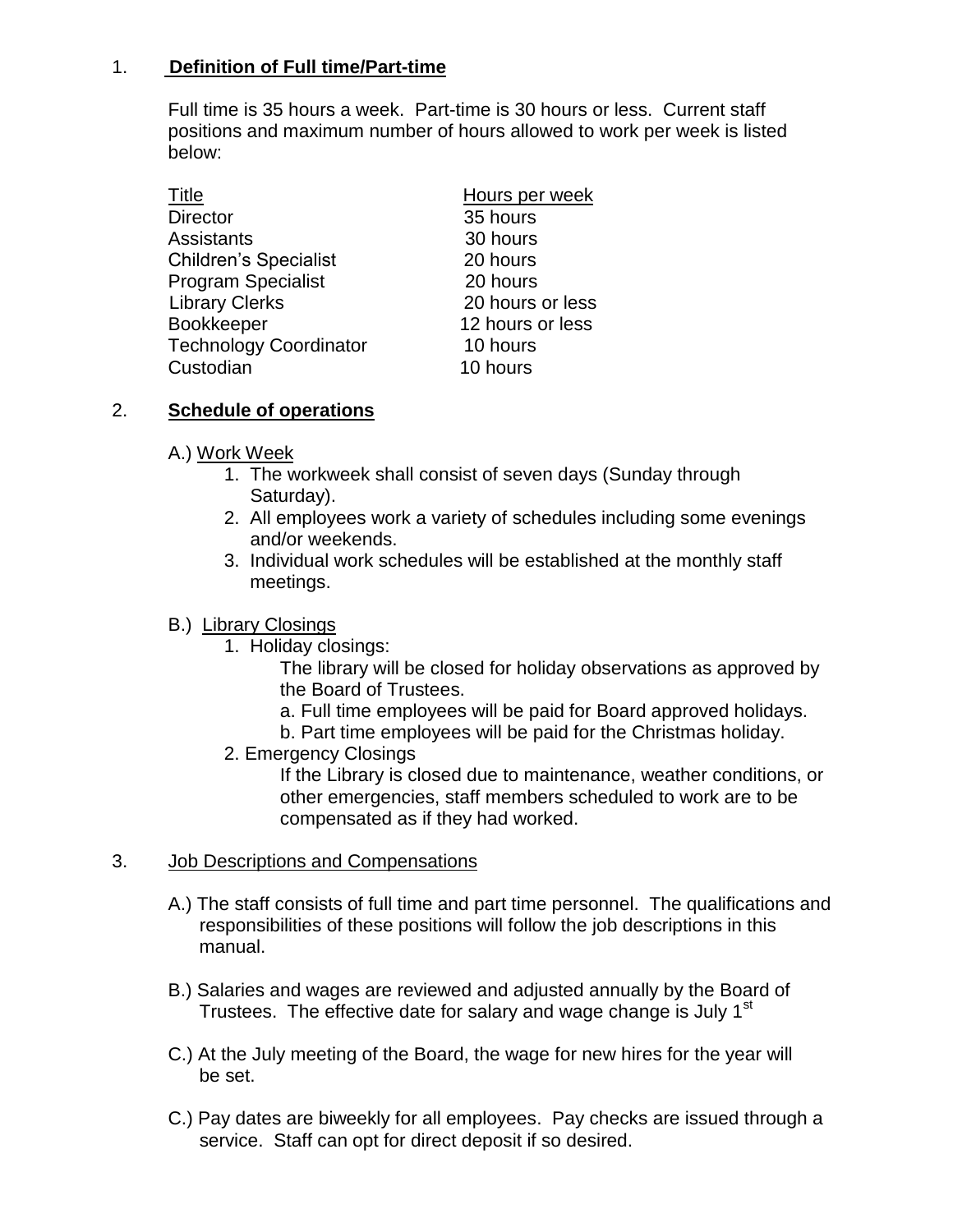## 1. **Definition of Full time/Part-time**

Full time is 35 hours a week. Part-time is 30 hours or less. Current staff positions and maximum number of hours allowed to work per week is listed below:

| <b>Title</b>                  | Hours per week   |
|-------------------------------|------------------|
| <b>Director</b>               | 35 hours         |
| <b>Assistants</b>             | 30 hours         |
| <b>Children's Specialist</b>  | 20 hours         |
| <b>Program Specialist</b>     | 20 hours         |
| <b>Library Clerks</b>         | 20 hours or less |
| Bookkeeper                    | 12 hours or less |
| <b>Technology Coordinator</b> | 10 hours         |
| Custodian                     | 10 hours         |

### 2. **Schedule of operations**

- A.) Work Week
	- 1. The workweek shall consist of seven days (Sunday through Saturday).
	- 2. All employees work a variety of schedules including some evenings and/or weekends.
	- 3. Individual work schedules will be established at the monthly staff meetings.

### B.) Library Closings

1. Holiday closings:

The library will be closed for holiday observations as approved by the Board of Trustees.

- a. Full time employees will be paid for Board approved holidays.
- b. Part time employees will be paid for the Christmas holiday.
- 2. Emergency Closings

If the Library is closed due to maintenance, weather conditions, or other emergencies, staff members scheduled to work are to be compensated as if they had worked.

### 3. Job Descriptions and Compensations

- A.) The staff consists of full time and part time personnel. The qualifications and responsibilities of these positions will follow the job descriptions in this manual.
- B.) Salaries and wages are reviewed and adjusted annually by the Board of Trustees. The effective date for salary and wage change is July 1<sup>st</sup>
- C.) At the July meeting of the Board, the wage for new hires for the year will be set.
- C.) Pay dates are biweekly for all employees. Pay checks are issued through a service. Staff can opt for direct deposit if so desired.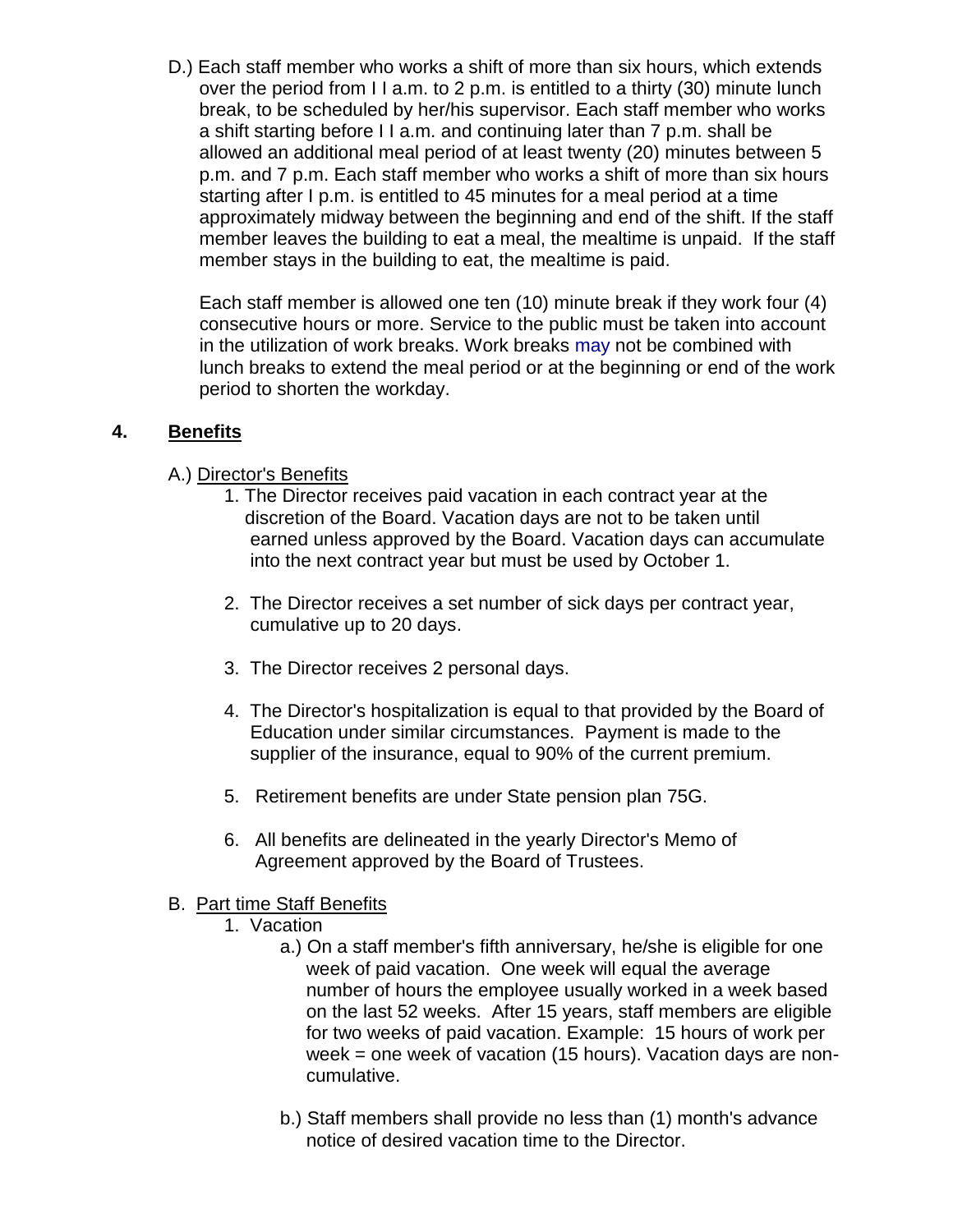D.) Each staff member who works a shift of more than six hours, which extends over the period from I I a.m. to 2 p.m. is entitled to a thirty (30) minute lunch break, to be scheduled by her/his supervisor. Each staff member who works a shift starting before I I a.m. and continuing later than 7 p.m. shall be allowed an additional meal period of at least twenty (20) minutes between 5 p.m. and 7 p.m. Each staff member who works a shift of more than six hours starting after I p.m. is entitled to 45 minutes for a meal period at a time approximately midway between the beginning and end of the shift. If the staff member leaves the building to eat a meal, the mealtime is unpaid. If the staff member stays in the building to eat, the mealtime is paid.

 Each staff member is allowed one ten (10) minute break if they work four (4) consecutive hours or more. Service to the public must be taken into account in the utilization of work breaks. Work breaks may not be combined with lunch breaks to extend the meal period or at the beginning or end of the work period to shorten the workday.

## **4. Benefits**

### A.) Director's Benefits

- 1. The Director receives paid vacation in each contract year at the discretion of the Board. Vacation days are not to be taken until earned unless approved by the Board. Vacation days can accumulate into the next contract year but must be used by October 1.
- 2. The Director receives a set number of sick days per contract year, cumulative up to 20 days.
- 3. The Director receives 2 personal days.
- 4. The Director's hospitalization is equal to that provided by the Board of Education under similar circumstances. Payment is made to the supplier of the insurance, equal to 90% of the current premium.
- 5. Retirement benefits are under State pension plan 75G.
- 6. All benefits are delineated in the yearly Director's Memo of Agreement approved by the Board of Trustees.

### B. Part time Staff Benefits

- 1. Vacation
	- a.) On a staff member's fifth anniversary, he/she is eligible for one week of paid vacation. One week will equal the average number of hours the employee usually worked in a week based on the last 52 weeks. After 15 years, staff members are eligible for two weeks of paid vacation. Example: 15 hours of work per week = one week of vacation (15 hours). Vacation days are non cumulative.
	- b.) Staff members shall provide no less than (1) month's advance notice of desired vacation time to the Director.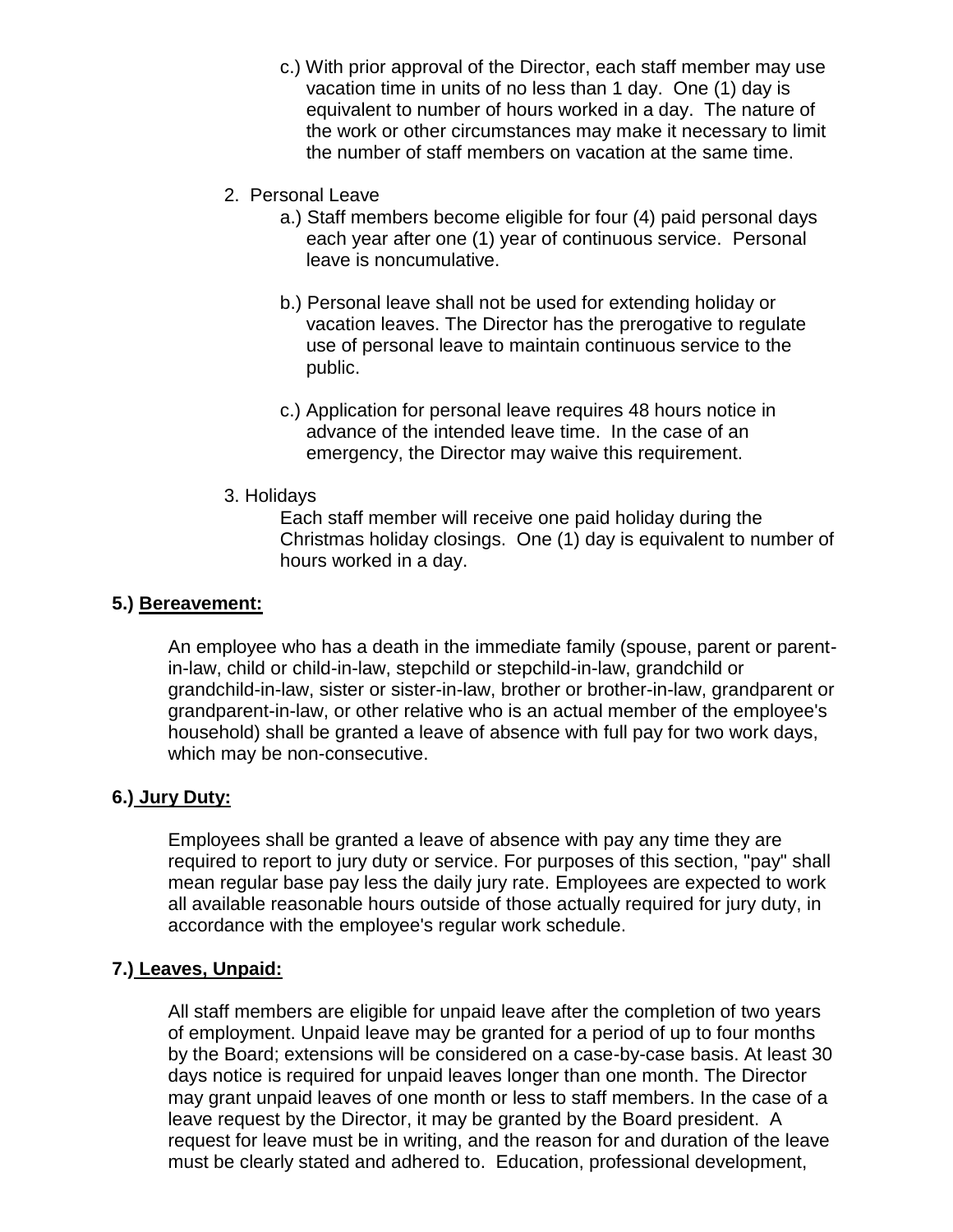- c.) With prior approval of the Director, each staff member may use vacation time in units of no less than 1 day. One (1) day is equivalent to number of hours worked in a day. The nature of the work or other circumstances may make it necessary to limit the number of staff members on vacation at the same time.
- 2. Personal Leave
	- a.) Staff members become eligible for four (4) paid personal days each year after one (1) year of continuous service. Personal leave is noncumulative.
	- b.) Personal leave shall not be used for extending holiday or vacation leaves. The Director has the prerogative to regulate use of personal leave to maintain continuous service to the public.
	- c.) Application for personal leave requires 48 hours notice in advance of the intended leave time. In the case of an emergency, the Director may waive this requirement.
- 3. Holidays

Each staff member will receive one paid holiday during the Christmas holiday closings. One (1) day is equivalent to number of hours worked in a day.

#### **5.) Bereavement:**

An employee who has a death in the immediate family (spouse, parent or parentin-law, child or child-in-law, stepchild or stepchild-in-law, grandchild or grandchild-in-law, sister or sister-in-law, brother or brother-in-law, grandparent or grandparent-in-law, or other relative who is an actual member of the employee's household) shall be granted a leave of absence with full pay for two work days, which may be non-consecutive.

### **6.) Jury Duty:**

Employees shall be granted a leave of absence with pay any time they are required to report to jury duty or service. For purposes of this section, "pay" shall mean regular base pay less the daily jury rate. Employees are expected to work all available reasonable hours outside of those actually required for jury duty, in accordance with the employee's regular work schedule.

### **7.) Leaves, Unpaid:**

All staff members are eligible for unpaid leave after the completion of two years of employment. Unpaid leave may be granted for a period of up to four months by the Board; extensions will be considered on a case-by-case basis. At least 30 days notice is required for unpaid leaves longer than one month. The Director may grant unpaid leaves of one month or less to staff members. In the case of a leave request by the Director, it may be granted by the Board president. A request for leave must be in writing, and the reason for and duration of the leave must be clearly stated and adhered to. Education, professional development,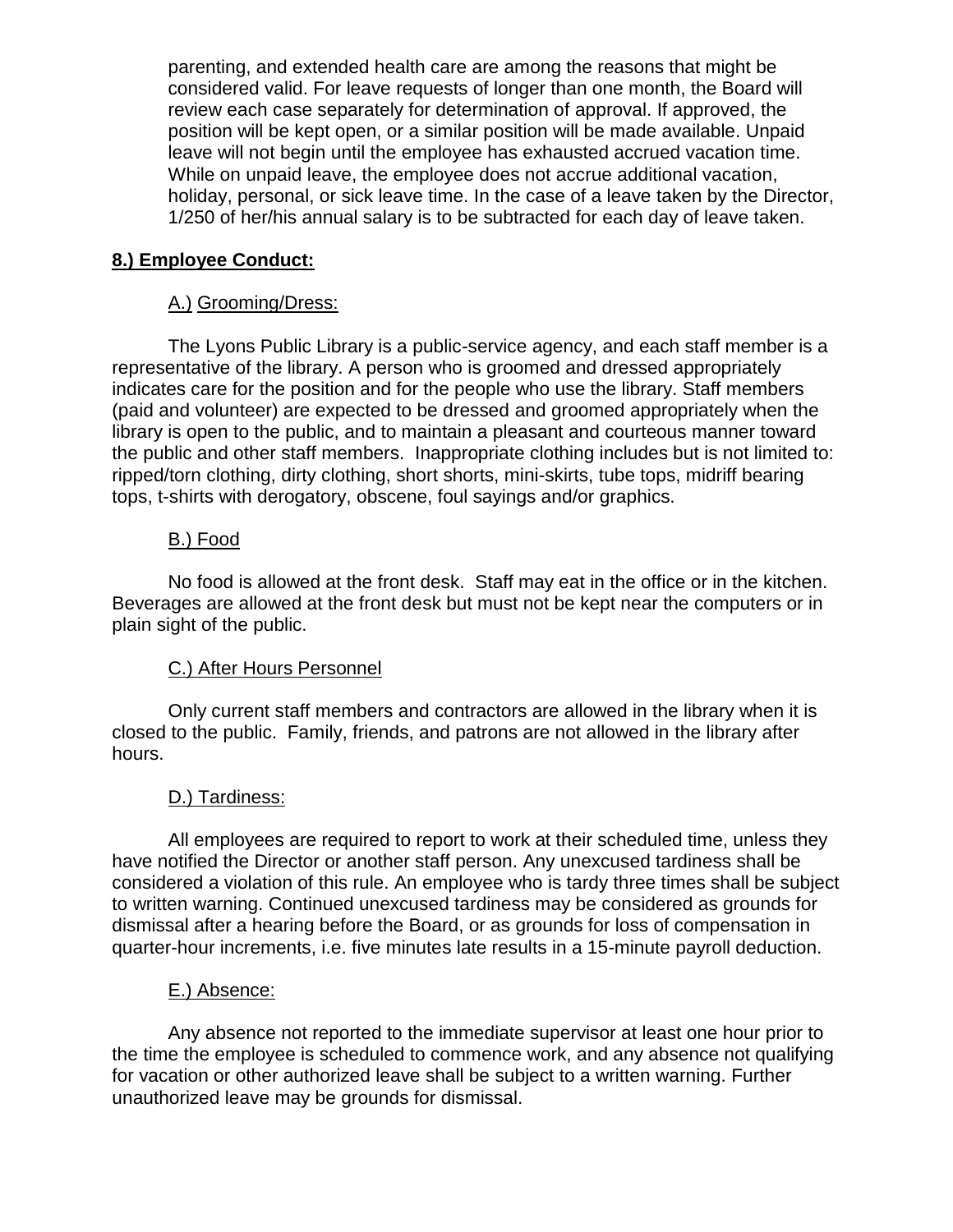parenting, and extended health care are among the reasons that might be considered valid. For leave requests of longer than one month, the Board will review each case separately for determination of approval. If approved, the position will be kept open, or a similar position will be made available. Unpaid leave will not begin until the employee has exhausted accrued vacation time. While on unpaid leave, the employee does not accrue additional vacation, holiday, personal, or sick leave time. In the case of a leave taken by the Director, 1/250 of her/his annual salary is to be subtracted for each day of leave taken.

### **8.) Employee Conduct:**

### A.) Grooming/Dress:

The Lyons Public Library is a public-service agency, and each staff member is a representative of the library. A person who is groomed and dressed appropriately indicates care for the position and for the people who use the library. Staff members (paid and volunteer) are expected to be dressed and groomed appropriately when the library is open to the public, and to maintain a pleasant and courteous manner toward the public and other staff members. Inappropriate clothing includes but is not limited to: ripped/torn clothing, dirty clothing, short shorts, mini-skirts, tube tops, midriff bearing tops, t-shirts with derogatory, obscene, foul sayings and/or graphics.

### B.) Food

No food is allowed at the front desk. Staff may eat in the office or in the kitchen. Beverages are allowed at the front desk but must not be kept near the computers or in plain sight of the public.

### C.) After Hours Personnel

Only current staff members and contractors are allowed in the library when it is closed to the public. Family, friends, and patrons are not allowed in the library after hours.

### D.) Tardiness:

All employees are required to report to work at their scheduled time, unless they have notified the Director or another staff person. Any unexcused tardiness shall be considered a violation of this rule. An employee who is tardy three times shall be subject to written warning. Continued unexcused tardiness may be considered as grounds for dismissal after a hearing before the Board, or as grounds for loss of compensation in quarter-hour increments, i.e. five minutes late results in a 15-minute payroll deduction.

### E.) Absence:

Any absence not reported to the immediate supervisor at least one hour prior to the time the employee is scheduled to commence work, and any absence not qualifying for vacation or other authorized leave shall be subject to a written warning. Further unauthorized leave may be grounds for dismissal.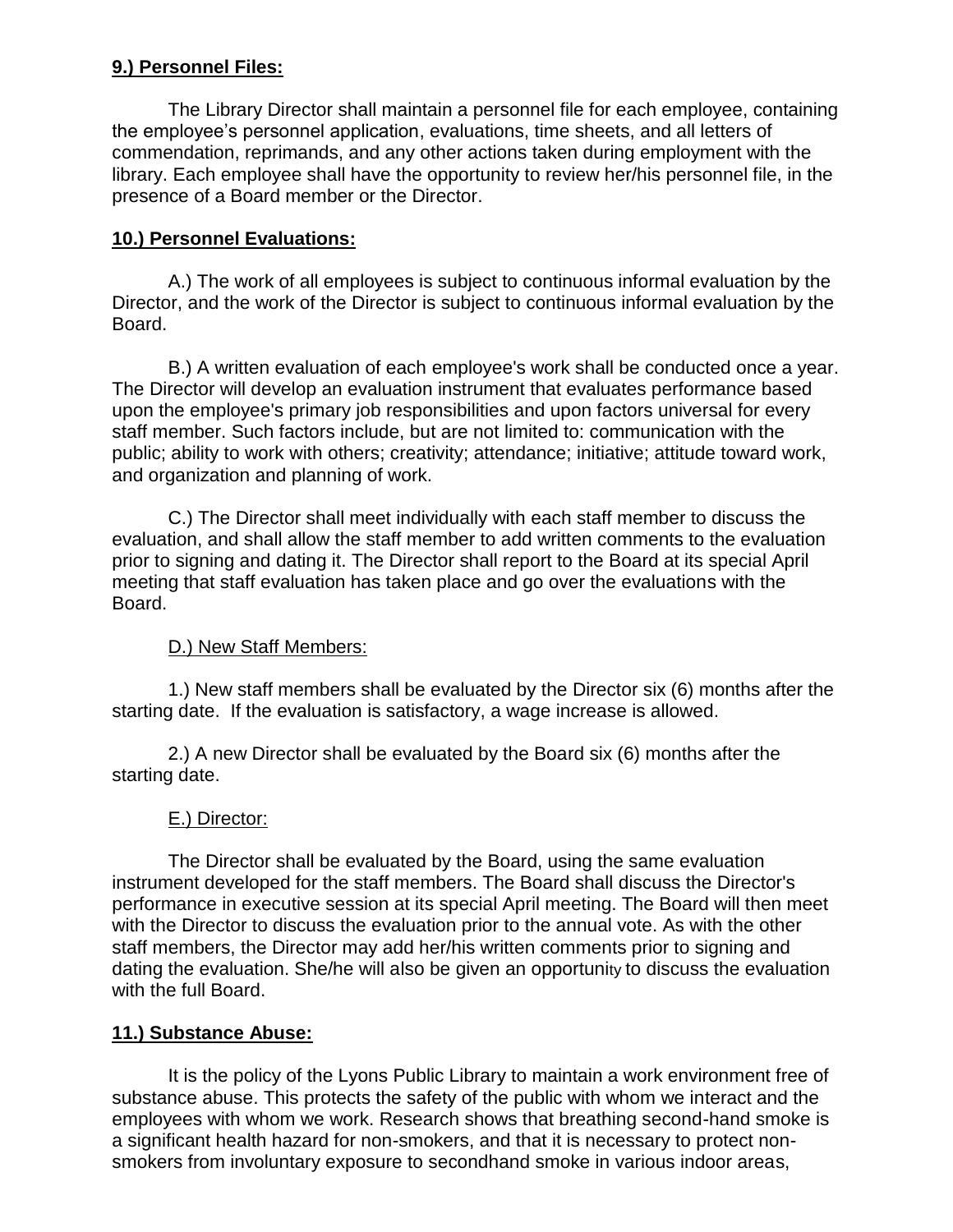# **9.) Personnel Files:**

The Library Director shall maintain a personnel file for each employee, containing the employee's personnel application, evaluations, time sheets, and all letters of commendation, reprimands, and any other actions taken during employment with the library. Each employee shall have the opportunity to review her/his personnel file, in the presence of a Board member or the Director.

## **10.) Personnel Evaluations:**

A.) The work of all employees is subject to continuous informal evaluation by the Director, and the work of the Director is subject to continuous informal evaluation by the Board.

B.) A written evaluation of each employee's work shall be conducted once a year. The Director will develop an evaluation instrument that evaluates performance based upon the employee's primary job responsibilities and upon factors universal for every staff member. Such factors include, but are not limited to: communication with the public; ability to work with others; creativity; attendance; initiative; attitude toward work, and organization and planning of work.

C.) The Director shall meet individually with each staff member to discuss the evaluation, and shall allow the staff member to add written comments to the evaluation prior to signing and dating it. The Director shall report to the Board at its special April meeting that staff evaluation has taken place and go over the evaluations with the Board.

## D.) New Staff Members:

1.) New staff members shall be evaluated by the Director six (6) months after the starting date. If the evaluation is satisfactory, a wage increase is allowed.

2.) A new Director shall be evaluated by the Board six (6) months after the starting date.

## E.) Director:

The Director shall be evaluated by the Board, using the same evaluation instrument developed for the staff members. The Board shall discuss the Director's performance in executive session at its special April meeting. The Board will then meet with the Director to discuss the evaluation prior to the annual vote. As with the other staff members, the Director may add her/his written comments prior to signing and dating the evaluation. She/he will also be given an opportunity to discuss the evaluation with the full Board.

## **11.) Substance Abuse:**

It is the policy of the Lyons Public Library to maintain a work environment free of substance abuse. This protects the safety of the public with whom we interact and the employees with whom we work. Research shows that breathing second-hand smoke is a significant health hazard for non-smokers, and that it is necessary to protect nonsmokers from involuntary exposure to secondhand smoke in various indoor areas,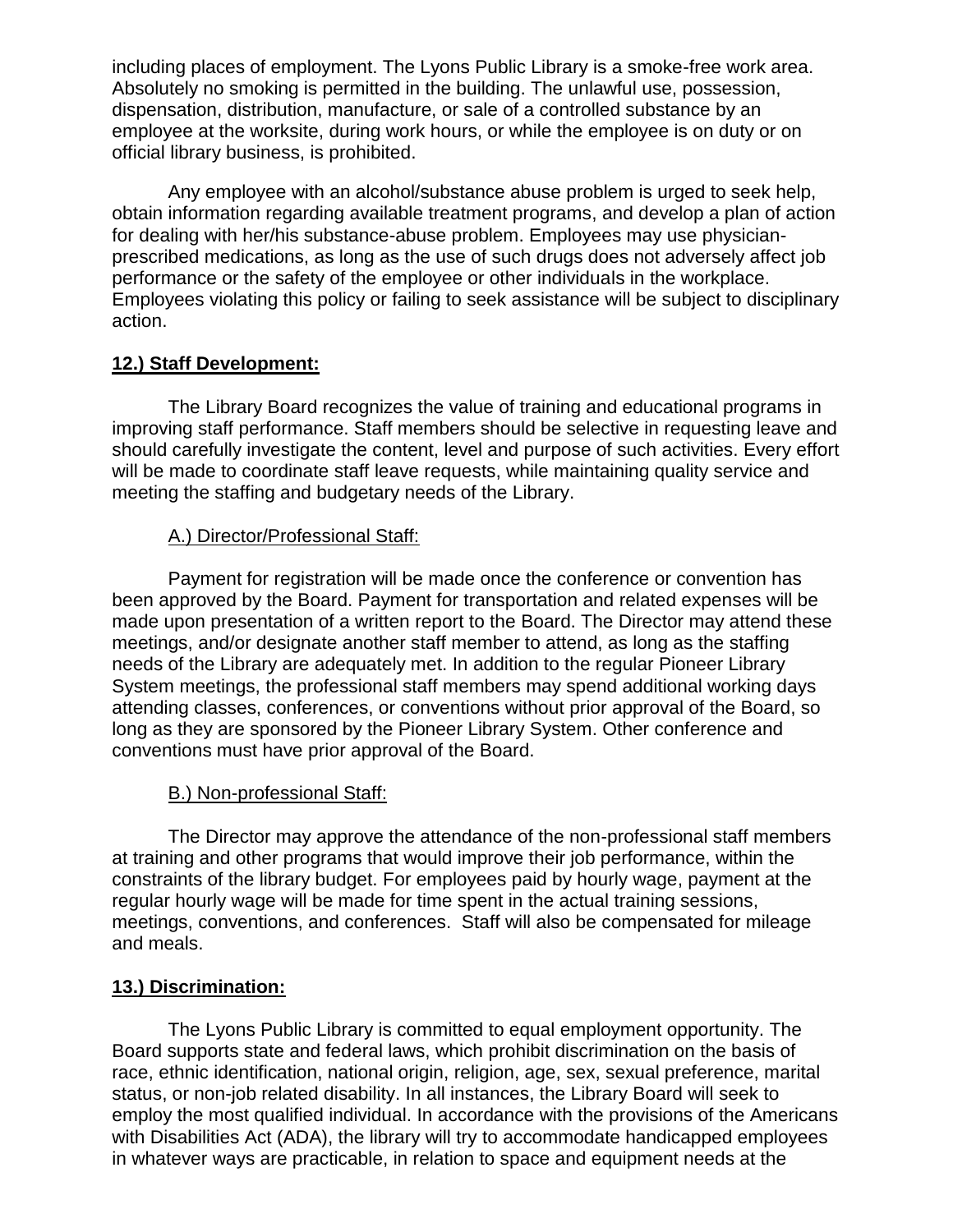including places of employment. The Lyons Public Library is a smoke-free work area. Absolutely no smoking is permitted in the building. The unlawful use, possession, dispensation, distribution, manufacture, or sale of a controlled substance by an employee at the worksite, during work hours, or while the employee is on duty or on official library business, is prohibited.

Any employee with an alcohol/substance abuse problem is urged to seek help, obtain information regarding available treatment programs, and develop a plan of action for dealing with her/his substance-abuse problem. Employees may use physicianprescribed medications, as long as the use of such drugs does not adversely affect job performance or the safety of the employee or other individuals in the workplace. Employees violating this policy or failing to seek assistance will be subject to disciplinary action.

### **12.) Staff Development:**

The Library Board recognizes the value of training and educational programs in improving staff performance. Staff members should be selective in requesting leave and should carefully investigate the content, level and purpose of such activities. Every effort will be made to coordinate staff leave requests, while maintaining quality service and meeting the staffing and budgetary needs of the Library.

### A.) Director/Professional Staff:

Payment for registration will be made once the conference or convention has been approved by the Board. Payment for transportation and related expenses will be made upon presentation of a written report to the Board. The Director may attend these meetings, and/or designate another staff member to attend, as long as the staffing needs of the Library are adequately met. In addition to the regular Pioneer Library System meetings, the professional staff members may spend additional working days attending classes, conferences, or conventions without prior approval of the Board, so long as they are sponsored by the Pioneer Library System. Other conference and conventions must have prior approval of the Board.

## B.) Non-professional Staff:

The Director may approve the attendance of the non-professional staff members at training and other programs that would improve their job performance, within the constraints of the library budget. For employees paid by hourly wage, payment at the regular hourly wage will be made for time spent in the actual training sessions, meetings, conventions, and conferences. Staff will also be compensated for mileage and meals.

## **13.) Discrimination:**

The Lyons Public Library is committed to equal employment opportunity. The Board supports state and federal laws, which prohibit discrimination on the basis of race, ethnic identification, national origin, religion, age, sex, sexual preference, marital status, or non-job related disability. In all instances, the Library Board will seek to employ the most qualified individual. In accordance with the provisions of the Americans with Disabilities Act (ADA), the library will try to accommodate handicapped employees in whatever ways are practicable, in relation to space and equipment needs at the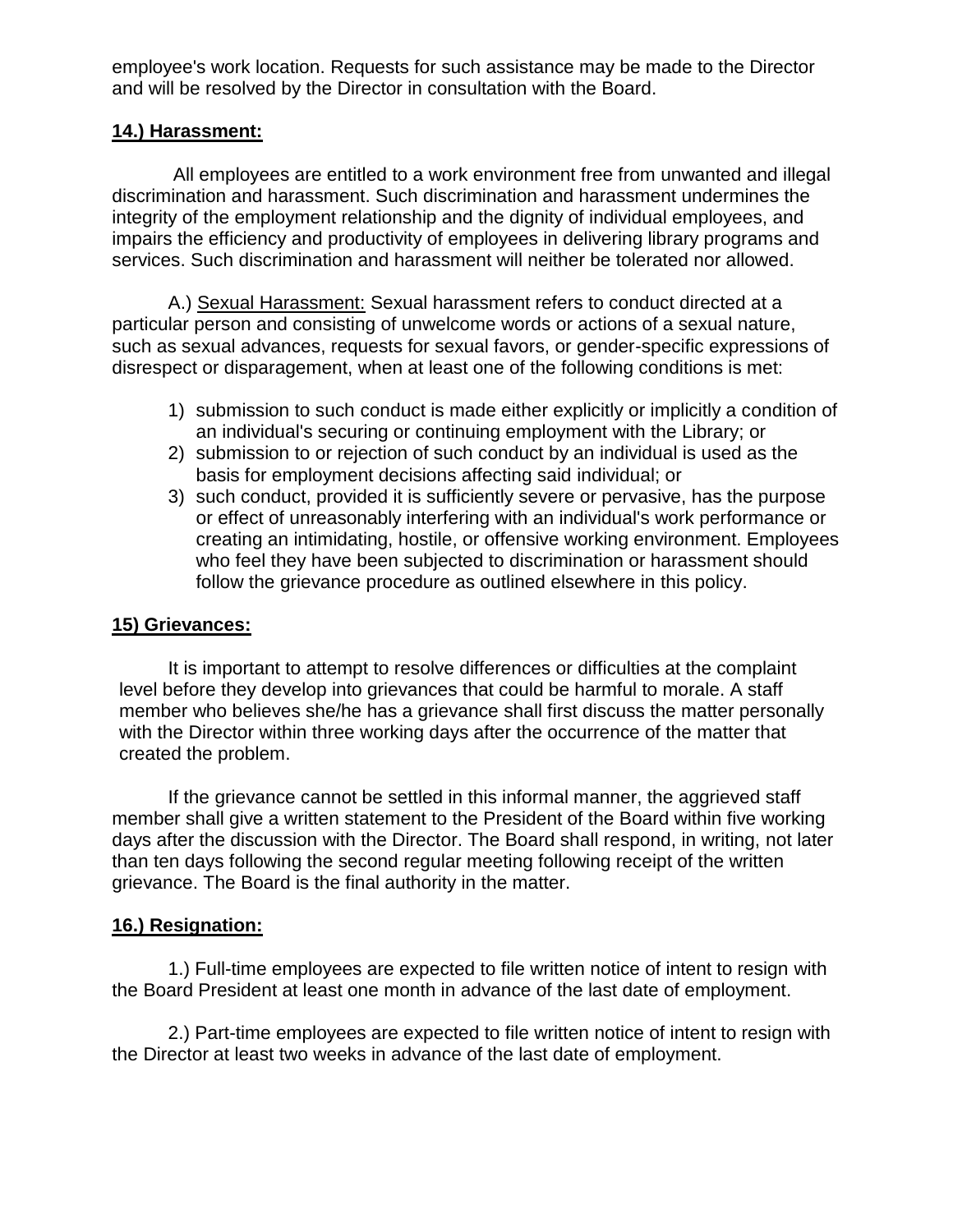employee's work location. Requests for such assistance may be made to the Director and will be resolved by the Director in consultation with the Board.

### **14.) Harassment:**

All employees are entitled to a work environment free from unwanted and illegal discrimination and harassment. Such discrimination and harassment undermines the integrity of the employment relationship and the dignity of individual employees, and impairs the efficiency and productivity of employees in delivering library programs and services. Such discrimination and harassment will neither be tolerated nor allowed.

A.) Sexual Harassment: Sexual harassment refers to conduct directed at a particular person and consisting of unwelcome words or actions of a sexual nature, such as sexual advances, requests for sexual favors, or gender-specific expressions of disrespect or disparagement, when at least one of the following conditions is met:

- 1) submission to such conduct is made either explicitly or implicitly a condition of an individual's securing or continuing employment with the Library; or
- 2) submission to or rejection of such conduct by an individual is used as the basis for employment decisions affecting said individual; or
- 3) such conduct, provided it is sufficiently severe or pervasive, has the purpose or effect of unreasonably interfering with an individual's work performance or creating an intimidating, hostile, or offensive working environment. Employees who feel they have been subjected to discrimination or harassment should follow the grievance procedure as outlined elsewhere in this policy.

### **15) Grievances:**

It is important to attempt to resolve differences or difficulties at the complaint level before they develop into grievances that could be harmful to morale. A staff member who believes she/he has a grievance shall first discuss the matter personally with the Director within three working days after the occurrence of the matter that created the problem.

If the grievance cannot be settled in this informal manner, the aggrieved staff member shall give a written statement to the President of the Board within five working days after the discussion with the Director. The Board shall respond, in writing, not later than ten days following the second regular meeting following receipt of the written grievance. The Board is the final authority in the matter.

### **16.) Resignation:**

1.) Full-time employees are expected to file written notice of intent to resign with the Board President at least one month in advance of the last date of employment.

2.) Part-time employees are expected to file written notice of intent to resign with the Director at least two weeks in advance of the last date of employment.